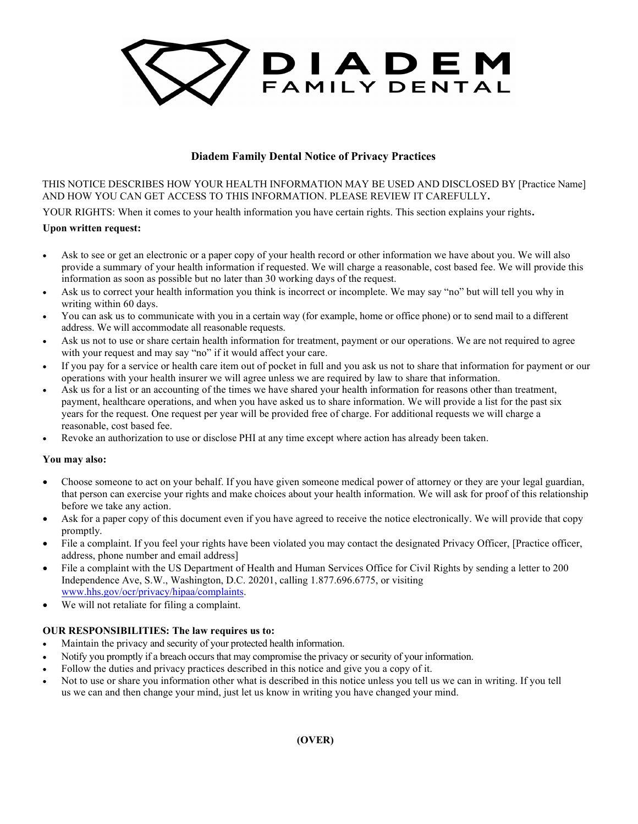

# Diadem Family Dental Notice of Privacy Practices

THIS NOTICE DESCRIBES HOW YOUR HEALTH INFORMATION MAY BE USED AND DISCLOSED BY [Practice Name] AND HOW YOU CAN GET ACCESS TO THIS INFORMATION. PLEASE REVIEW IT CAREFULLY.

YOUR RIGHTS: When it comes to your health information you have certain rights. This section explains your rights.

## Upon written request:

- Ask to see or get an electronic or a paper copy of your health record or other information we have about you. We will also provide a summary of your health information if requested. We will charge a reasonable, cost based fee. We will provide this information as soon as possible but no later than 30 working days of the request.
- Ask us to correct your health information you think is incorrect or incomplete. We may say "no" but will tell you why in writing within 60 days.
- You can ask us to communicate with you in a certain way (for example, home or office phone) or to send mail to a different address. We will accommodate all reasonable requests.
- Ask us not to use or share certain health information for treatment, payment or our operations. We are not required to agree with your request and may say "no" if it would affect your care.
- If you pay for a service or health care item out of pocket in full and you ask us not to share that information for payment or our operations with your health insurer we will agree unless we are required by law to share that information.
- Ask us for a list or an accounting of the times we have shared your health information for reasons other than treatment, payment, healthcare operations, and when you have asked us to share information. We will provide a list for the past six years for the request. One request per year will be provided free of charge. For additional requests we will charge a reasonable, cost based fee.
- Revoke an authorization to use or disclose PHI at any time except where action has already been taken.

#### You may also:

- Choose someone to act on your behalf. If you have given someone medical power of attorney or they are your legal guardian, that person can exercise your rights and make choices about your health information. We will ask for proof of this relationship before we take any action.
- Ask for a paper copy of this document even if you have agreed to receive the notice electronically. We will provide that copy promptly.
- File a complaint. If you feel your rights have been violated you may contact the designated Privacy Officer, [Practice officer, address, phone number and email address]
- File a complaint with the US Department of Health and Human Services Office for Civil Rights by sending a letter to 200 Independence Ave, S.W., Washington, D.C. 20201, calling 1.877.696.6775, or visiting www.hhs.gov/ocr/privacy/hipaa/complaints.
- We will not retaliate for filing a complaint.

## OUR RESPONSIBILITIES: The law requires us to:

- Maintain the privacy and security of your protected health information.
- Notify you promptly if a breach occurs that may compromise the privacy or security of your information.
- Follow the duties and privacy practices described in this notice and give you a copy of it.
- Not to use or share you information other what is described in this notice unless you tell us we can in writing. If you tell us we can and then change your mind, just let us know in writing you have changed your mind.